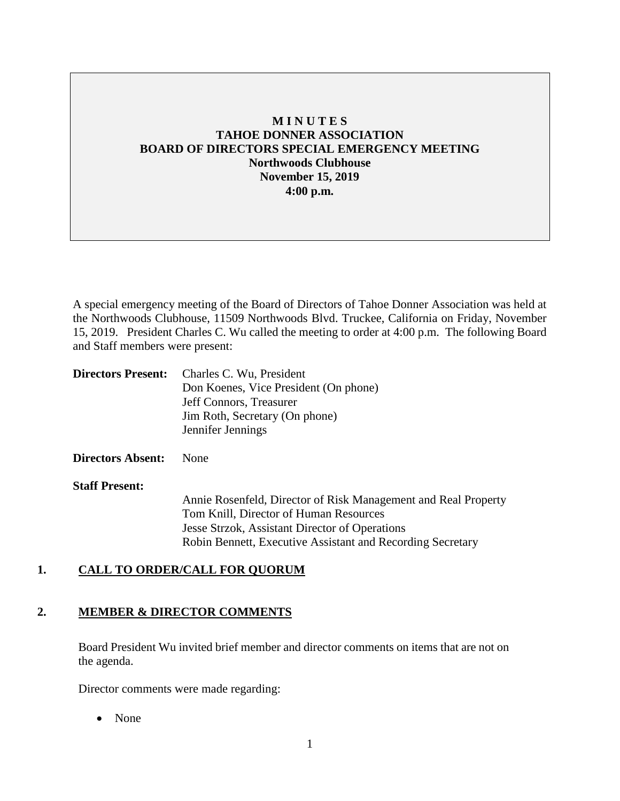# **M I N U T E S TAHOE DONNER ASSOCIATION BOARD OF DIRECTORS SPECIAL EMERGENCY MEETING Northwoods Clubhouse November 15, 2019 4:00 p.m.**

A special emergency meeting of the Board of Directors of Tahoe Donner Association was held at the Northwoods Clubhouse, 11509 Northwoods Blvd. Truckee, California on Friday, November 15, 2019. President Charles C. Wu called the meeting to order at 4:00 p.m. The following Board and Staff members were present:

| <b>Directors Present:</b> Charles C. Wu, President |
|----------------------------------------------------|
| Don Koenes, Vice President (On phone)              |
| Jeff Connors, Treasurer                            |
| Jim Roth, Secretary (On phone)                     |
| Jennifer Jennings                                  |
|                                                    |

### **Directors Absent:** None

#### **Staff Present:**

Annie Rosenfeld, Director of Risk Management and Real Property Tom Knill, Director of Human Resources Jesse Strzok, Assistant Director of Operations Robin Bennett, Executive Assistant and Recording Secretary

### **1. CALL TO ORDER/CALL FOR QUORUM**

### **2. MEMBER & DIRECTOR COMMENTS**

Board President Wu invited brief member and director comments on items that are not on the agenda.

Director comments were made regarding:

• None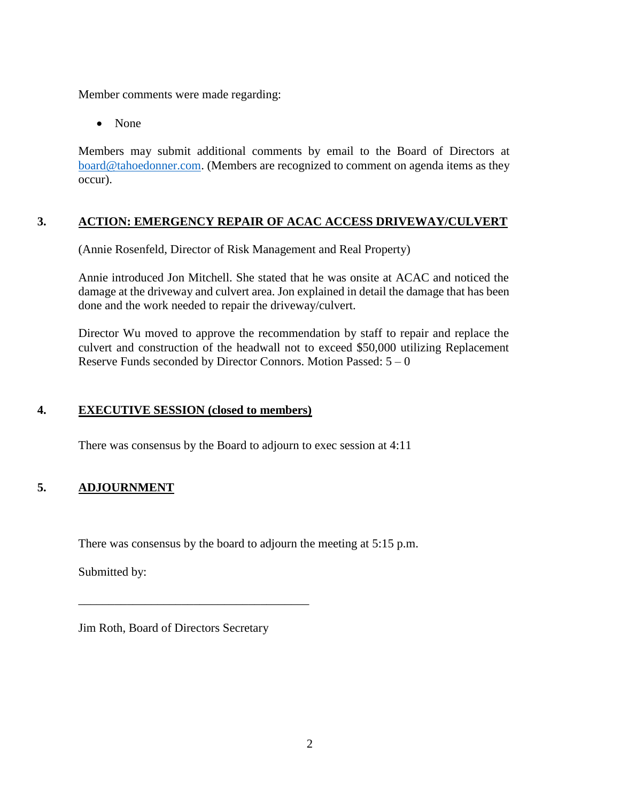Member comments were made regarding:

• None

Members may submit additional comments by email to the Board of Directors at [board@tahoedonner.com.](mailto:board@tahoedonner.com) (Members are recognized to comment on agenda items as they occur).

### **3. ACTION: EMERGENCY REPAIR OF ACAC ACCESS DRIVEWAY/CULVERT**

(Annie Rosenfeld, Director of Risk Management and Real Property)

Annie introduced Jon Mitchell. She stated that he was onsite at ACAC and noticed the damage at the driveway and culvert area. Jon explained in detail the damage that has been done and the work needed to repair the driveway/culvert.

Director Wu moved to approve the recommendation by staff to repair and replace the culvert and construction of the headwall not to exceed \$50,000 utilizing Replacement Reserve Funds seconded by Director Connors. Motion Passed:  $5 - 0$ 

### **4. EXECUTIVE SESSION (closed to members)**

There was consensus by the Board to adjourn to exec session at 4:11

# **5. ADJOURNMENT**

There was consensus by the board to adjourn the meeting at 5:15 p.m.

Submitted by:

Jim Roth, Board of Directors Secretary

\_\_\_\_\_\_\_\_\_\_\_\_\_\_\_\_\_\_\_\_\_\_\_\_\_\_\_\_\_\_\_\_\_\_\_\_\_\_